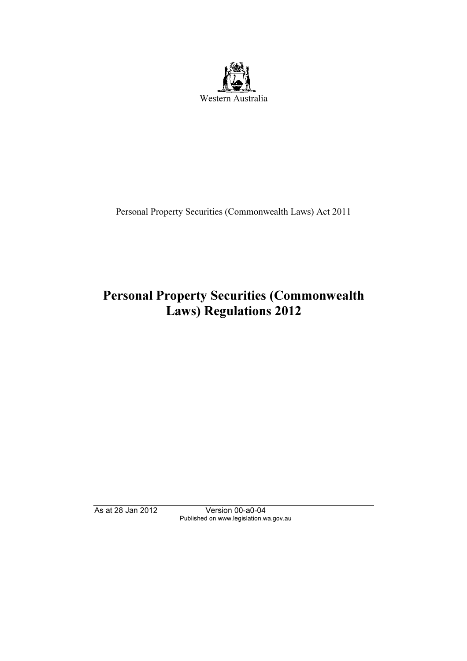

Personal Property Securities (Commonwealth Laws) Act 2011

# $P(x)$  Personal Property Securities ( $P(x)$ )  $L_{\rm max}$ ,  $L_{\rm B}$ ,  $L_{\rm max}$

Published on www.legislation.wa.gov.au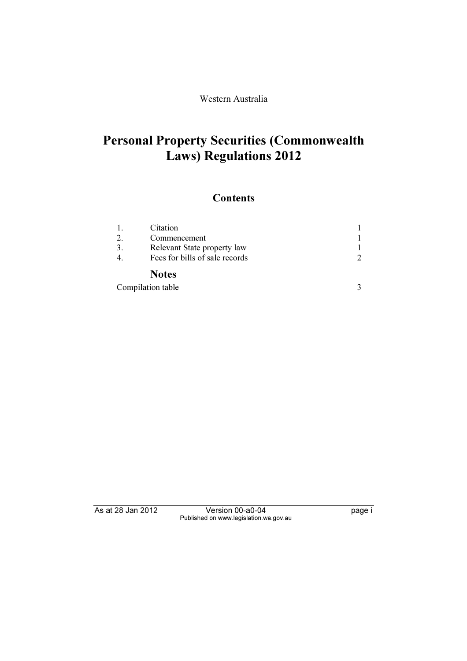### Western Australia

# $P_{\text{P}}(s)$  Requisitions  $2012$  $\mathcal{L}$  and  $\mathcal{L}$  are guaranteens 2012

# **Contents**

|                   | Citation                       |  |
|-------------------|--------------------------------|--|
| $\overline{2}$ .  | Commencement                   |  |
|                   | Relevant State property law    |  |
|                   | Fees for bills of sale records |  |
|                   | <b>Notes</b>                   |  |
| Compilation table |                                |  |

Published on www.legislation.wa.gov.au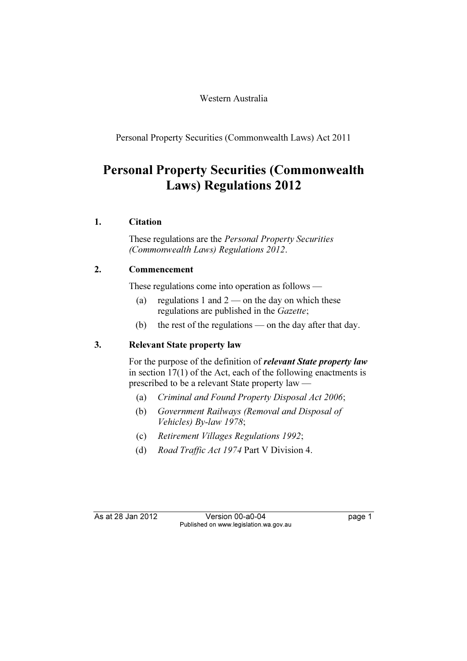#### Western Australia

Personal Property Securities (Commonwealth Laws) Act 2011

# Personal Property Securities (Commonwealth  $\mathcal{L}$  and  $\mathcal{L}$  are guaranteens 2012

## 1. Citation

 These regulations are the Personal Property Securities (Commonwealth Laws) Regulations 2012.

## 2. Commencement

These regulations come into operation as follows —

- (a) regulations 1 and  $2$  on the day on which these regulations are published in the Gazette;
- (b) the rest of the regulations on the day after that day.

#### 3. Relevant State property law

For the purpose of the definition of *relevant State property law* in section 17(1) of the Act, each of the following enactments is prescribed to be a relevant State property law —

- (a) Criminal and Found Property Disposal Act 2006;
- (b) Government Railways (Removal and Disposal of Vehicles) By-law 1978;
- (c) Retirement Villages Regulations 1992;
- (d) Road Traffic Act 1974 Part V Division 4.

As at 28 Jan 2012

Version 00-a0-04 Published on www.legislation.wa.gov.au Published on www.legislation.wa.gov.au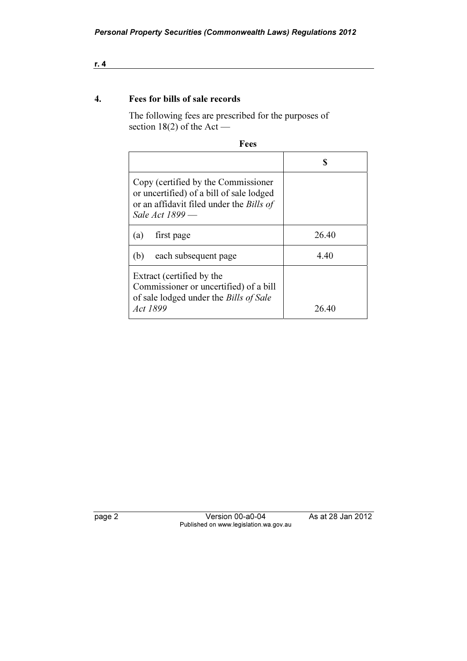#### 4. Fees for bills of sale records

 The following fees are prescribed for the purposes of section 18(2) of the Act —

| Fees                                                                                                                                                  |       |  |  |
|-------------------------------------------------------------------------------------------------------------------------------------------------------|-------|--|--|
|                                                                                                                                                       | S     |  |  |
| Copy (certified by the Commissioner<br>or uncertified) of a bill of sale lodged<br>or an affidavit filed under the <i>Bills of</i><br>Sale Act 1899 - |       |  |  |
| first page<br>(a)                                                                                                                                     | 26.40 |  |  |
| each subsequent page<br>(b)                                                                                                                           | 4.40  |  |  |
| Extract (certified by the<br>Commissioner or uncertified) of a bill<br>of sale lodged under the <i>Bills of Sale</i><br><i>Act 1899</i>               | 26.40 |  |  |

page 2 Version 2 Version wa.gov.au Published on www.legislation.wa.gov.au